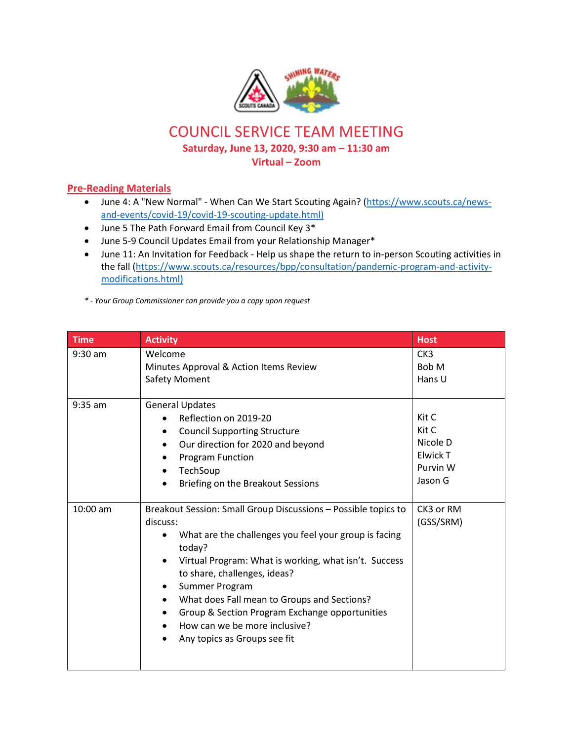

## COUNCIL SERVICE TEAM MEETING

**Saturday, June 13, 2020, 9:30 am – 11:30 am**

**Virtual – Zoom**

## **Pre-Reading Materials**

- June 4: A "New Normal" When Can We Start Scouting Again? [\(https://www.scouts.ca/news](https://www.scouts.ca/news-and-events/covid-19/covid-19-scouting-update.html)[and-events/covid-19/covid-19-scouting-update.html\)](https://www.scouts.ca/news-and-events/covid-19/covid-19-scouting-update.html)
- June 5 The Path Forward Email from Council Key 3\*
- June 5-9 Council Updates Email from your Relationship Manager\*
- June 11: An Invitation for Feedback Help us shape the return to in-person Scouting activities in the fall [\(https://www.scouts.ca/resources/bpp/consultation/pandemic-program-and-activity](https://www.scouts.ca/resources/bpp/consultation/pandemic-program-and-activity-modifications.html)[modifications.html\)](https://www.scouts.ca/resources/bpp/consultation/pandemic-program-and-activity-modifications.html)
- *\* - Your Group Commissioner can provide you a copy upon request*

| <b>Time</b> | <b>Activity</b>                                                                                    | <b>Host</b>     |
|-------------|----------------------------------------------------------------------------------------------------|-----------------|
| $9:30$ am   | Welcome                                                                                            | CK <sub>3</sub> |
|             | Minutes Approval & Action Items Review                                                             | Bob M           |
|             | <b>Safety Moment</b>                                                                               | Hans U          |
|             |                                                                                                    |                 |
| $9:35$ am   | <b>General Updates</b>                                                                             |                 |
|             | Reflection on 2019-20                                                                              | Kit C           |
|             | <b>Council Supporting Structure</b>                                                                | Kit C           |
|             | Our direction for 2020 and beyond                                                                  | Nicole D        |
|             | Program Function                                                                                   | Elwick T        |
|             | TechSoup                                                                                           | Purvin W        |
|             | Briefing on the Breakout Sessions                                                                  | Jason G         |
|             |                                                                                                    |                 |
| 10:00 am    | Breakout Session: Small Group Discussions - Possible topics to                                     | CK3 or RM       |
|             | discuss:                                                                                           | (GSS/SRM)       |
|             | What are the challenges you feel your group is facing<br>today?                                    |                 |
|             | Virtual Program: What is working, what isn't. Success<br>$\bullet$<br>to share, challenges, ideas? |                 |
|             | Summer Program                                                                                     |                 |
|             | What does Fall mean to Groups and Sections?<br>$\bullet$                                           |                 |
|             | Group & Section Program Exchange opportunities                                                     |                 |
|             | How can we be more inclusive?                                                                      |                 |
|             | Any topics as Groups see fit                                                                       |                 |
|             |                                                                                                    |                 |
|             |                                                                                                    |                 |